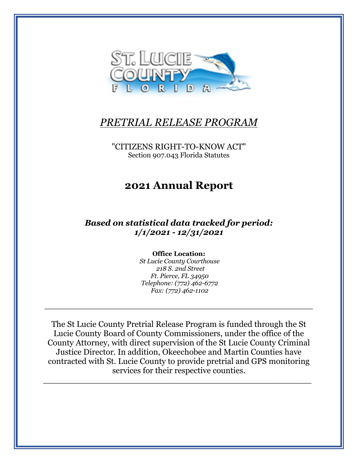

## *PRETRIAL RELEASE PROGRAM*

"CITIZENS RIGHT-TO-KNOW ACT" Section 907.043 Florida Statutes

# **2021 Annual Report**

*Based on statistical data tracked for period: 1/1/2021 - 12/31/2021*

#### **Office Location:**

*St Lucie County Courthouse 218 S. 2nd Street Ft. Pierce, FL 34950 Telephone: (772) 462-6772 Fax: (772) 462-1102*

\_\_\_\_\_\_\_\_\_\_\_\_\_\_\_\_\_\_\_\_\_\_\_\_\_\_\_\_\_\_\_\_\_\_\_\_\_\_\_\_\_\_\_\_\_\_\_\_\_\_\_

The St Lucie County Pretrial Release Program is funded through the St Lucie County Board of County Commissioners, under the office of the County Attorney, with direct supervision of the St Lucie County Criminal Justice Director. In addition, Okeechobee and Martin Counties have contracted with St. Lucie County to provide pretrial and GPS monitoring services for their respective counties.

\_\_\_\_\_\_\_\_\_\_\_\_\_\_\_\_\_\_\_\_\_\_\_\_\_\_\_\_\_\_\_\_\_\_\_\_\_\_\_\_\_\_\_\_\_\_\_\_\_\_\_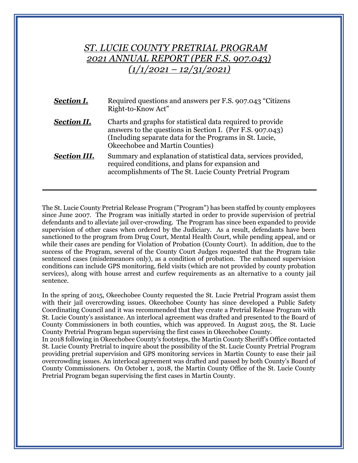## *ST. LUCIE COUNTY PRETRIAL PROGRAM 2021 ANNUAL REPORT (PER F.S. 907.043) (1/1/2021 – 12/31/2021)*

| <b>Section I.</b>   | Required questions and answers per F.S. 907.043 "Citizens"<br>Right-to-Know Act"                                                                                                                                      |
|---------------------|-----------------------------------------------------------------------------------------------------------------------------------------------------------------------------------------------------------------------|
| <b>Section II.</b>  | Charts and graphs for statistical data required to provide<br>answers to the questions in Section I. (Per F.S. 907.043)<br>(Including separate data for the Programs in St. Lucie,<br>Okeechobee and Martin Counties) |
| <b>Section III.</b> | Summary and explanation of statistical data, services provided,<br>required conditions, and plans for expansion and<br>accomplishments of The St. Lucie County Pretrial Program                                       |

The St. Lucie County Pretrial Release Program ("Program") has been staffed by county employees since June 2007. The Program was initially started in order to provide supervision of pretrial defendants and to alleviate jail over-crowding. The Program has since been expanded to provide supervision of other cases when ordered by the Judiciary. As a result, defendants have been sanctioned to the program from Drug Court, Mental Health Court, while pending appeal, and or while their cases are pending for Violation of Probation (County Court). In addition, due to the success of the Program, several of the County Court Judges requested that the Program take sentenced cases (misdemeanors only), as a condition of probation. The enhanced supervision conditions can include GPS monitoring, field visits (which are not provided by county probation services), along with house arrest and curfew requirements as an alternative to a county jail sentence.

In the spring of 2015, Okeechobee County requested the St. Lucie Pretrial Program assist them with their jail overcrowding issues. Okeechobee County has since developed a Public Safety Coordinating Council and it was recommended that they create a Pretrial Release Program with St. Lucie County's assistance. An interlocal agreement was drafted and presented to the Board of County Commissioners in both counties, which was approved. In August 2015, the St. Lucie County Pretrial Program began supervising the first cases in Okeechobee County.

In 2018 following in Okeechobee County's footsteps, the Martin County Sheriff's Office contacted St. Lucie County Pretrial to inquire about the possibility of the St. Lucie County Pretrial Program providing pretrial supervision and GPS monitoring services in Martin County to ease their jail overcrowding issues. An interlocal agreement was drafted and passed by both County's Board of County Commissioners. On October 1, 2018, the Martin County Office of the St. Lucie County Pretrial Program began supervising the first cases in Martin County.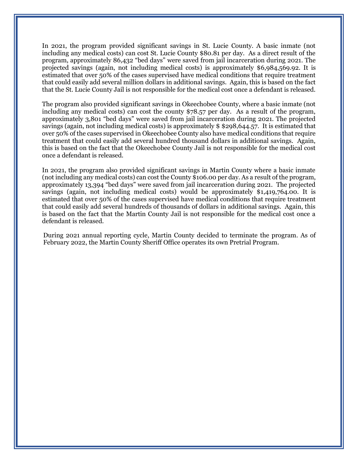In 2021, the program provided significant savings in St. Lucie County. A basic inmate (not including any medical costs) can cost St. Lucie County \$80.81 per day. As a direct result of the program, approximately 86,432 "bed days" were saved from jail incarceration during 2021. The projected savings (again, not including medical costs) is approximately \$6,984,569.92. It is estimated that over 50% of the cases supervised have medical conditions that require treatment that could easily add several million dollars in additional savings. Again, this is based on the fact that the St. Lucie County Jail is not responsible for the medical cost once a defendant is released.

The program also provided significant savings in Okeechobee County, where a basic inmate (not including any medical costs) can cost the county \$78.57 per day. As a result of the program, approximately 3,801 "bed days" were saved from jail incarceration during 2021. The projected savings (again, not including medical costs) is approximately \$ \$298,644.57. It is estimated that over 50% of the cases supervised in Okeechobee County also have medical conditions that require treatment that could easily add several hundred thousand dollars in additional savings. Again, this is based on the fact that the Okeechobee County Jail is not responsible for the medical cost once a defendant is released.

In 2021, the program also provided significant savings in Martin County where a basic inmate (not including any medical costs) can cost the County \$106.00 per day. As a result of the program, approximately 13,394 "bed days" were saved from jail incarceration during 2021. The projected savings (again, not including medical costs) would be approximately \$1,419,764.00. It is estimated that over 50% of the cases supervised have medical conditions that require treatment that could easily add several hundreds of thousands of dollars in additional savings. Again, this is based on the fact that the Martin County Jail is not responsible for the medical cost once a defendant is released.

During 2021 annual reporting cycle, Martin County decided to terminate the program. As of February 2022, the Martin County Sheriff Office operates its own Pretrial Program.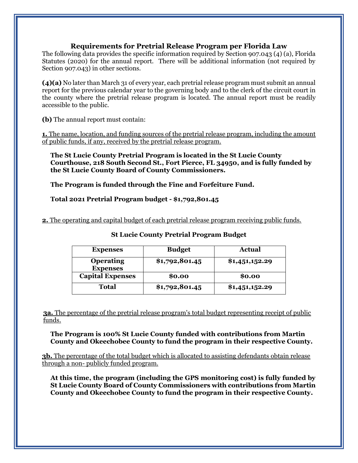### **Requirements for Pretrial Release Program per Florida Law**

The following data provides the specific information required by Section 907.043 (4) (a), Florida Statutes (2020) for the annual report. There will be additional information (not required by Section 907.043) in other sections.

**(4)(a)** No later than March 31 of every year, each pretrial release program must submit an annual report for the previous calendar year to the governing body and to the clerk of the circuit court in the county where the pretrial release program is located. The annual report must be readily accessible to the public.

**(b)** The annual report must contain:

**1.** The name, location, and funding sources of the pretrial release program, including the amount of public funds, if any, received by the pretrial release program.

**The St Lucie County Pretrial Program is located in the St Lucie County Courthouse, 218 South Second St., Fort Pierce, FL 34950, and is fully funded by the St Lucie County Board of County Commissioners.** 

#### **The Program is funded through the Fine and Forfeiture Fund.**

#### **Total 2021 Pretrial Program budget - \$1,792,801.45**

**2.** The operating and capital budget of each pretrial release program receiving public funds.

| <b>Expenses</b>                     | <b>Budget</b>  | <b>Actual</b>  |
|-------------------------------------|----------------|----------------|
| <b>Operating</b><br><b>Expenses</b> | \$1,792,801.45 | \$1,451,152.29 |
| <b>Capital Expenses</b>             | \$0.00         | \$0.00         |
| Total                               | \$1,792,801.45 | \$1,451,152.29 |

#### **St Lucie County Pretrial Program Budget**

**3a.** The percentage of the pretrial release program's total budget representing receipt of public funds.

#### **The Program is 100% St Lucie County funded with contributions from Martin County and Okeechobee County to fund the program in their respective County.**

**3b.** The percentage of the total budget which is allocated to assisting defendants obtain release through a non- publicly funded program.

**At this time, the program (including the GPS monitoring cost) is fully funded by St Lucie County Board of County Commissioners with contributions from Martin County and Okeechobee County to fund the program in their respective County.**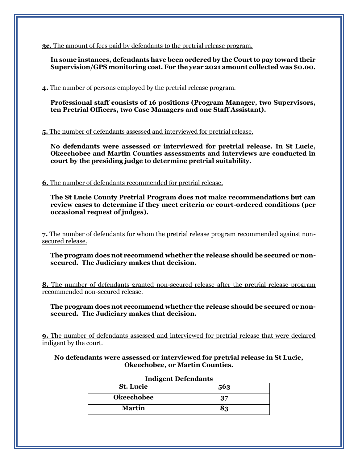**3c.** The amount of fees paid by defendants to the pretrial release program.

**In some instances, defendants have been ordered by the Court to pay toward their Supervision/GPS monitoring cost. For the year 2021 amount collected was \$0.00.**

**4.** The number of persons employed by the pretrial release program.

**Professional staff consists of 16 positions (Program Manager, two Supervisors, ten Pretrial Officers, two Case Managers and one Staff Assistant).**

**5.** The number of defendants assessed and interviewed for pretrial release.

**No defendants were assessed or interviewed for pretrial release. In St Lucie, Okeechobee and Martin Counties assessments and interviews are conducted in court by the presiding judge to determine pretrial suitability.**

**6.** The number of defendants recommended for pretrial release.

**The St Lucie County Pretrial Program does not make recommendations but can review cases to determine if they meet criteria or court-ordered conditions (per occasional request of judges).** 

**7.** The number of defendants for whom the pretrial release program recommended against nonsecured release.

**The program does not recommend whether the release should be secured or nonsecured. The Judiciary makes that decision.**

**8.** The number of defendants granted non-secured release after the pretrial release program recommended non-secured release.

**The program does not recommend whether the release should be secured or nonsecured. The Judiciary makes that decision.**

**9.** The number of defendants assessed and interviewed for pretrial release that were declared indigent by the court.

**No defendants were assessed or interviewed for pretrial release in St Lucie, Okeechobee, or Martin Counties.**

| <b>Indigent Defendants</b> |     |  |
|----------------------------|-----|--|
| <b>St.</b> Lucie           | 563 |  |
| <b>Okeechobee</b>          | 37  |  |
| <b>Martin</b>              | 83  |  |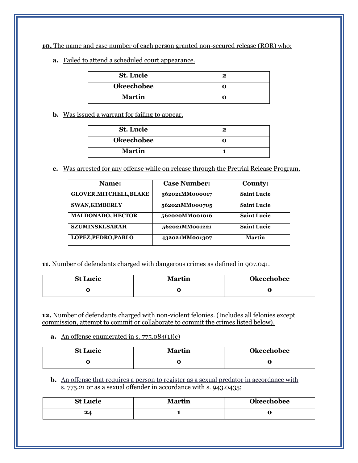**10.** The name and case number of each person granted non-secured release (ROR) who:

**a.** Failed to attend a scheduled court appearance.

| <b>St. Lucie</b>  |  |
|-------------------|--|
| <b>Okeechobee</b> |  |
| <b>Martin</b>     |  |

**b.** Was issued a warrant for failing to appear.

| <b>St. Lucie</b>  |  |
|-------------------|--|
| <b>Okeechobee</b> |  |
| <b>Martin</b>     |  |

**c.** Was arrested for any offense while on release through the Pretrial Release Program.

| Name:                          | <b>Case Number:</b> | <b>County:</b>     |
|--------------------------------|---------------------|--------------------|
| <b>GLOVER, MITCHELL, BLAKE</b> | 562021MM000017      | <b>Saint Lucie</b> |
| <b>SWAN, KIMBERLY</b>          | 562021MM000705      | <b>Saint Lucie</b> |
| <b>MALDONADO, HECTOR</b>       | 562020MM001016      | <b>Saint Lucie</b> |
| <b>SZUMINSKI, SARAH</b>        | 562021MM001221      | <b>Saint Lucie</b> |
| LOPEZ, PEDRO, PABLO            | 432021MM001307      | <b>Martin</b>      |

**11.** Number of defendants charged with dangerous crimes as defined in 907.041.

| <b>St Lucie</b> | <b>Martin</b> | <b>Okeechobee</b> |
|-----------------|---------------|-------------------|
|                 |               | u                 |

**12.** Number of defendants charged with non-violent felonies. (Includes all felonies except commission, attempt to commit or collaborate to commit the crimes listed below).

**a.** An offense enumerated in s.  $775.084(1)(c)$ 

| <b>St Lucie</b> | Martin | <b>Okeechobee</b> |
|-----------------|--------|-------------------|
|                 |        | u                 |

**b.** An offense that requires a person to register as a sexual predator in accordance with s. [775.21](http://www.leg.state.fl.us/statutes/index.cfm?App_mode=Display_Statute&Search_String=907.043&URL=0700-0799/0775/Sections/0775.21.html) or as a sexual offender in accordance with s. [943.0435;](http://www.leg.state.fl.us/statutes/index.cfm?App_mode=Display_Statute&Search_String=907.043&URL=0900-0999/0943/Sections/0943.0435.html)

| <b>St Lucie</b> | <b>Martin</b> | <b>Okeechobee</b> |
|-----------------|---------------|-------------------|
| 24              |               | w                 |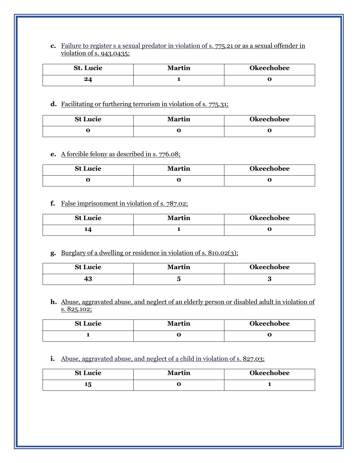**c.** Failure to register s a sexual predator in violation of s. 775.21 or as a sexual offender in violation of s. 943.0435;

| <b>St. Lucie</b> | <b>Martin</b> | <b>Okeechobee</b> |
|------------------|---------------|-------------------|
| ワイ<br>$-4$       |               | U                 |

#### **d.** Facilitating or furthering terrorism in violation of s. [775.31;](http://www.leg.state.fl.us/statutes/index.cfm?App_mode=Display_Statute&Search_String=907.043&URL=0700-0799/0775/Sections/0775.31.html)

| <b>St Lucie</b> | <b>Martin</b> | <b>Okeechobee</b> |
|-----------------|---------------|-------------------|
| w               |               | u                 |

## **e.** A forcible felony as described in s. [776.08;](http://www.leg.state.fl.us/statutes/index.cfm?App_mode=Display_Statute&Search_String=907.043&URL=0700-0799/0776/Sections/0776.08.html)

| <b>St Lucie</b> | <b>Martin</b> | <b>Okeechobee</b> |
|-----------------|---------------|-------------------|
|                 |               | u                 |

## **f.** False imprisonment in violation of s. 787.02;

| <b>St Lucie</b> | Martin | <b>Okeechobee</b> |
|-----------------|--------|-------------------|
| 14              |        | ີ                 |

## **g.** Burglary of a dwelling or residence in violation of s. [810.02\(](http://www.leg.state.fl.us/statutes/index.cfm?App_mode=Display_Statute&Search_String=907.043&URL=0800-0899/0810/Sections/0810.02.html)3);

| <b>St Lucie</b> | <b>Martin</b> | <b>Okeechobee</b> |
|-----------------|---------------|-------------------|
| ю               |               | G<br>ບ            |

**h.** Abuse, aggravated abuse, and neglect of an elderly person or disabled adult in violation of s. 825.102;

| <b>St Lucie</b> | <b>Martin</b> | <b>Okeechobee</b> |
|-----------------|---------------|-------------------|
|                 |               | ∼                 |

#### **i.** Abuse, aggravated abuse, and neglect of a child in violation of s. [827.03;](http://www.leg.state.fl.us/statutes/index.cfm?App_mode=Display_Statute&Search_String=907.043&URL=0800-0899/0827/Sections/0827.03.html)

| <b>St Lucie</b> | <b>Martin</b> | <b>Okeechobee</b> |
|-----------------|---------------|-------------------|
| 15              |               |                   |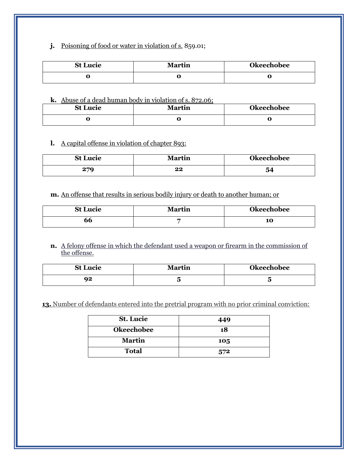**j.** Poisoning of food or water in violation of s. 859.01;

| <b>St Lucie</b> | Martin | Okeechobee |
|-----------------|--------|------------|
| v               |        | u          |

**k.** Abuse of a dead human body in violation of s. 872.06;

| <b>St Lucie</b> | <b>Martin</b> | <b>Okeechobee</b> |
|-----------------|---------------|-------------------|
|                 |               | ື                 |

**l.** A capital offense in violation of chapter 893:

| <b>St Lucie</b> | <b>Martin</b> | <b>Okeechobee</b> |
|-----------------|---------------|-------------------|
| 279             | 22            | 54                |

**m.** An offense that results in serious bodily injury or death to another human; or

| <b>St Lucie</b> | <b>Martin</b> | <b>Okeechobee</b> |
|-----------------|---------------|-------------------|
| 66              |               | 10                |

**n.** A felony offense in which the defendant used a weapon or firearm in the commission of the offense.

| <b>St Lucie</b> | <b>Martin</b> | <b>Okeechobee</b> |
|-----------------|---------------|-------------------|
| nΩ              |               | ັ                 |

**13.** Number of defendants entered into the pretrial program with no prior criminal conviction:

| <b>St.</b> Lucie  | 449 |
|-------------------|-----|
| <b>Okeechobee</b> | 18  |
| <b>Martin</b>     | 105 |
| <b>Total</b>      | 572 |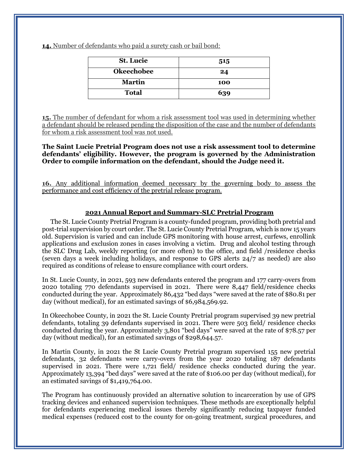**14.** Number of defendants who paid a surety cash or bail bond:

| <b>St. Lucie</b>  | 515 |
|-------------------|-----|
| <b>Okeechobee</b> | 24  |
| <b>Martin</b>     | 100 |
| <b>Total</b>      | 639 |

**15.** The number of defendant for whom a risk assessment tool was used in determining whether a defendant should be released pending the disposition of the case and the number of defendants for whom a risk assessment tool was not used.

**The Saint Lucie Pretrial Program does not use a risk assessment tool to determine defendants' eligibility. However, the program is governed by the Administration Order to compile information on the defendant, should the Judge need it.**

**16.** Any additional information deemed necessary by the governing body to assess the performance and cost efficiency of the pretrial release program.

#### **2021 Annual Report and Summary-SLC Pretrial Program**

The St. Lucie County Pretrial Program is a county-funded program, providing both pretrial and post-trial supervision by court order. The St. Lucie County Pretrial Program, which is now 15 years old. Supervision is varied and can include GPS monitoring with house arrest, curfews, enrollink applications and exclusion zones in cases involving a victim. Drug and alcohol testing through the SLC Drug Lab, weekly reporting (or more often) to the office, and field /residence checks (seven days a week including holidays, and response to GPS alerts 24/7 as needed) are also required as conditions of release to ensure compliance with court orders.

In St. Lucie County, in 2021, 593 new defendants entered the program and 177 carry-overs from 2020 totaling 770 defendants supervised in 2021. There were 8,447 field/residence checks conducted during the year. Approximately 86,432 "bed days "were saved at the rate of \$80.81 per day (without medical), for an estimated savings of \$6,984,569.92.

In Okeechobee County, in 2021 the St. Lucie County Pretrial program supervised 39 new pretrial defendants, totaling 39 defendants supervised in 2021. There were 503 field/ residence checks conducted during the year. Approximately 3,801 "bed days" were saved at the rate of \$78.57 per day (without medical), for an estimated savings of \$298,644.57.

In Martin County, in 2021 the St Lucie County Pretrial program supervised 155 new pretrial defendants, 32 defendants were carry-overs from the year 2020 totaling 187 defendants supervised in 2021. There were 1,721 field/ residence checks conducted during the year. Approximately 13,394 "bed days" were saved at the rate of \$106.00 per day (without medical), for an estimated savings of \$1,419,764.00.

The Program has continuously provided an alternative solution to incarceration by use of GPS tracking devices and enhanced supervision techniques. These methods are exceptionally helpful for defendants experiencing medical issues thereby significantly reducing taxpayer funded medical expenses (reduced cost to the county for on-going treatment, surgical procedures, and